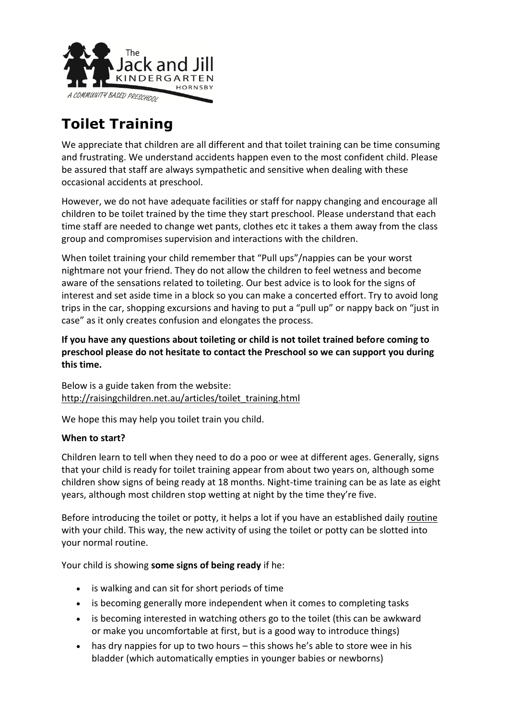

# **Toilet Training**

We appreciate that children are all different and that toilet training can be time consuming and frustrating. We understand accidents happen even to the most confident child. Please be assured that staff are always sympathetic and sensitive when dealing with these occasional accidents at preschool.

However, we do not have adequate facilities or staff for nappy changing and encourage all children to be toilet trained by the time they start preschool. Please understand that each time staff are needed to change wet pants, clothes etc it takes a them away from the class group and compromises supervision and interactions with the children.

When toilet training your child remember that "Pull ups"/nappies can be your worst nightmare not your friend. They do not allow the children to feel wetness and become aware of the sensations related to toileting. Our best advice is to look for the signs of interest and set aside time in a block so you can make a concerted effort. Try to avoid long trips in the car, shopping excursions and having to put a "pull up" or nappy back on "just in case" as it only creates confusion and elongates the process.

**If you have any questions about toileting or child is not toilet trained before coming to preschool please do not hesitate to contact the Preschool so we can support you during this time.**

Below is a guide taken from the website: [http://raisingchildren.net.au/articles/toilet\\_training.html](http://raisingchildren.net.au/articles/toilet_training.html)

We hope this may help you toilet train you child.

### **When to start?**

Children learn to tell when they need to do a poo or wee at different ages. Generally, signs that your child is ready for toilet training appear from about two years on, although some children show signs of being ready at 18 months. Night-time training can be as late as eight years, although most children stop wetting at night by the time they're five.

Before introducing the toilet or potty, it helps a lot if you have an established daily [routine](http://raisingchildren.net.au/articles/family_routines:_how_and_why_they_work.html) with your child. This way, the new activity of using the toilet or potty can be slotted into your normal routine.

Your child is showing **some signs of being ready** if he:

- is walking and can sit for short periods of time
- is becoming generally more independent when it comes to completing tasks
- is becoming interested in watching others go to the toilet (this can be awkward or make you uncomfortable at first, but is a good way to introduce things)
- has dry nappies for up to two hours this shows he's able to store wee in his bladder (which automatically empties in younger babies or newborns)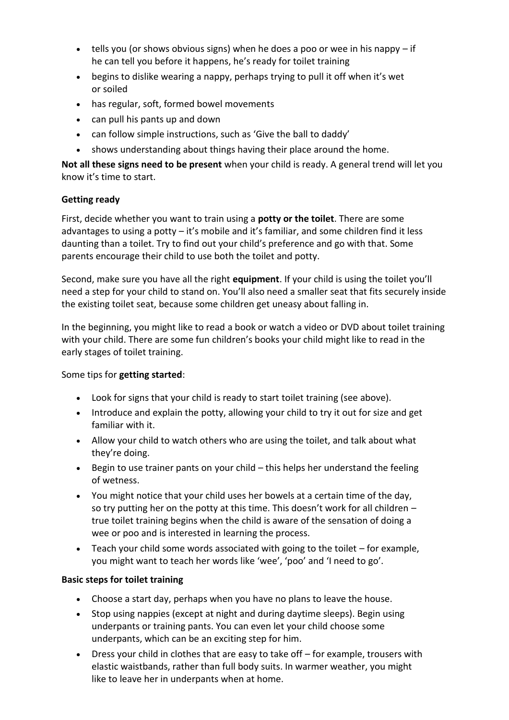- $\bullet$  tells you (or shows obvious signs) when he does a poo or wee in his nappy if he can tell you before it happens, he's ready for toilet training
- begins to dislike wearing a nappy, perhaps trying to pull it off when it's wet or soiled
- has regular, soft, formed bowel movements
- can pull his pants up and down
- can follow simple instructions, such as 'Give the ball to daddy'
- shows understanding about things having their place around the home.

**Not all these signs need to be present** when your child is ready. A general trend will let you know it's time to start.

## **Getting ready**

First, decide whether you want to train using a **potty or the toilet**. There are some advantages to using a potty – it's mobile and it's familiar, and some children find it less daunting than a toilet. Try to find out your child's preference and go with that. Some parents encourage their child to use both the toilet and potty.

Second, make sure you have all the right **equipment**. If your child is using the toilet you'll need a step for your child to stand on. You'll also need a smaller seat that fits securely inside the existing toilet seat, because some children get uneasy about falling in.

In the beginning, you might like to read a book or watch a video or DVD about toilet training with your child. There are some fun children's books your child might like to read in the early stages of toilet training.

Some tips for **getting started**:

- Look for signs that your child is ready to start toilet training (see above).
- Introduce and explain the potty, allowing your child to try it out for size and get familiar with it.
- Allow your child to watch others who are using the toilet, and talk about what they're doing.
- Begin to use trainer pants on your child this helps her understand the feeling of wetness.
- You might notice that your child uses her bowels at a certain time of the day, so try putting her on the potty at this time. This doesn't work for all children – true toilet training begins when the child is aware of the sensation of doing a wee or poo and is interested in learning the process.
- $\bullet$  Teach your child some words associated with going to the toilet for example, you might want to teach her words like 'wee', 'poo' and 'I need to go'.

### **Basic steps for toilet training**

- Choose a start day, perhaps when you have no plans to leave the house.
- Stop using nappies (except at night and during daytime sleeps). Begin using underpants or training pants. You can even let your child choose some underpants, which can be an exciting step for him.
- Dress your child in clothes that are easy to take off for example, trousers with elastic waistbands, rather than full body suits. In warmer weather, you might like to leave her in underpants when at home.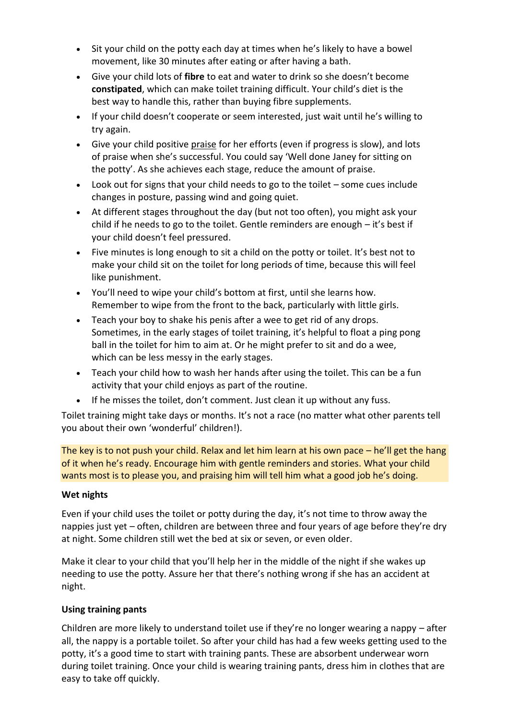- Sit your child on the potty each day at times when he's likely to have a bowel movement, like 30 minutes after eating or after having a bath.
- Give your child lots of **[fibre](javascript:showGlossary(2987);)** to eat and water to drink so she doesn't become **[constipated](javascript:showGlossary(2104);)**, which can make toilet training difficult. Your child's diet is the best way to handle this, rather than buying fibre supplements.
- If your child doesn't cooperate or seem interested, just wait until he's willing to try again.
- Give your child positive [praise](http://raisingchildren.net.au/articles/praise_and_encouragement.html) for her efforts (even if progress is slow), and lots of praise when she's successful. You could say 'Well done Janey for sitting on the potty'. As she achieves each stage, reduce the amount of praise.
- Look out for signs that your child needs to go to the toilet some cues include changes in posture, passing wind and going quiet.
- At different stages throughout the day (but not too often), you might ask your child if he needs to go to the toilet. Gentle reminders are enough  $-$  it's best if your child doesn't feel pressured.
- Five minutes is long enough to sit a child on the potty or toilet. It's best not to make your child sit on the toilet for long periods of time, because this will feel like punishment.
- You'll need to wipe your child's bottom at first, until she learns how. Remember to wipe from the front to the back, particularly with little girls.
- Teach your boy to shake his penis after a wee to get rid of any drops. Sometimes, in the early stages of toilet training, it's helpful to float a ping pong ball in the toilet for him to aim at. Or he might prefer to sit and do a wee, which can be less messy in the early stages.
- Teach your child how to wash her hands after using the toilet. This can be a fun activity that your child enjoys as part of the routine.
- If he misses the toilet, don't comment. Just clean it up without any fuss.

Toilet training might take days or months. It's not a race (no matter what other parents tell you about their own 'wonderful' children!).

The key is to not push your child. Relax and let him learn at his own pace – he'll get the hang of it when he's ready. Encourage him with gentle reminders and stories. What your child wants most is to please you, and praising him will tell him what a good job he's doing.

### **Wet nights**

Even if your child uses the toilet or potty during the day, it's not time to throw away the nappies just yet – often, children are between three and four years of age before they're dry at night. Some children still wet the bed at six or seven, or even older.

Make it clear to your child that you'll help her in the middle of the night if she wakes up needing to use the potty. Assure her that there's nothing wrong if she has an accident at night.

### **Using training pants**

Children are more likely to understand toilet use if they're no longer wearing a nappy – after all, the nappy is a portable toilet. So after your child has had a few weeks getting used to the potty, it's a good time to start with training pants. These are absorbent underwear worn during toilet training. Once your child is wearing training pants, dress him in clothes that are easy to take off quickly.